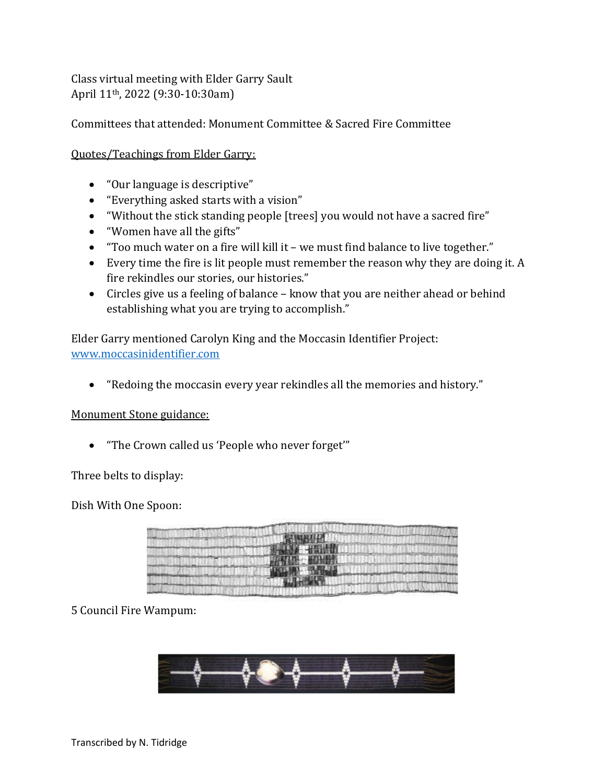Class virtual meeting with Elder Garry Sault April 11th, 2022 (9:30-10:30am)

Committees that attended: Monument Committee & Sacred Fire Committee

Quotes/Teachings from Elder Garry:

- "Our language is descriptive"
- "Everything asked starts with a vision"
- "Without the stick standing people [trees] you would not have a sacred fire"
- "Women have all the gifts"
- "Too much water on a fire will kill it we must find balance to live together."
- Every time the fire is lit people must remember the reason why they are doing it. A fire rekindles our stories, our histories."
- Circles give us a feeling of balance know that you are neither ahead or behind establishing what you are trying to accomplish."

Elder Garry mentioned Carolyn King and the Moccasin Identifier Project: [www.moccasinidentifier.com](http://www.moccasinidentifier.com/)

• "Redoing the moccasin every year rekindles all the memories and history."

## Monument Stone guidance:

• "The Crown called us 'People who never forget'"

Three belts to display:

Dish With One Spoon:



## 5 Council Fire Wampum: